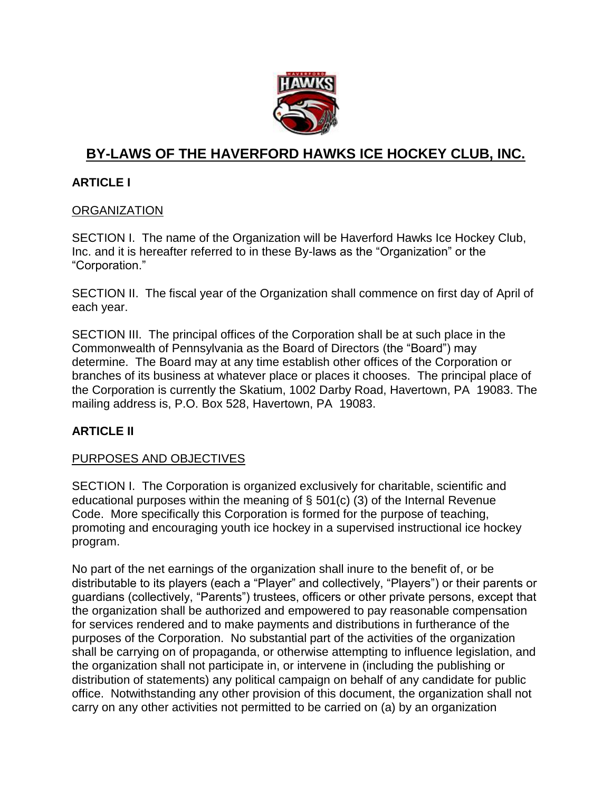

# **BY-LAWS OF THE HAVERFORD HAWKS ICE HOCKEY CLUB, INC.**

# **ARTICLE I**

### **ORGANIZATION**

SECTION I. The name of the Organization will be Haverford Hawks Ice Hockey Club, Inc. and it is hereafter referred to in these By-laws as the "Organization" or the "Corporation."

SECTION II. The fiscal year of the Organization shall commence on first day of April of each year.

SECTION III. The principal offices of the Corporation shall be at such place in the Commonwealth of Pennsylvania as the Board of Directors (the "Board") may determine. The Board may at any time establish other offices of the Corporation or branches of its business at whatever place or places it chooses. The principal place of the Corporation is currently the Skatium, 1002 Darby Road, Havertown, PA 19083. The mailing address is, P.O. Box 528, Havertown, PA 19083.

# **ARTICLE II**

### PURPOSES AND OBJECTIVES

SECTION I. The Corporation is organized exclusively for charitable, scientific and educational purposes within the meaning of § 501(c) (3) of the Internal Revenue Code. More specifically this Corporation is formed for the purpose of teaching, promoting and encouraging youth ice hockey in a supervised instructional ice hockey program.

No part of the net earnings of the organization shall inure to the benefit of, or be distributable to its players (each a "Player" and collectively, "Players") or their parents or guardians (collectively, "Parents") trustees, officers or other private persons, except that the organization shall be authorized and empowered to pay reasonable compensation for services rendered and to make payments and distributions in furtherance of the purposes of the Corporation. No substantial part of the activities of the organization shall be carrying on of propaganda, or otherwise attempting to influence legislation, and the organization shall not participate in, or intervene in (including the publishing or distribution of statements) any political campaign on behalf of any candidate for public office. Notwithstanding any other provision of this document, the organization shall not carry on any other activities not permitted to be carried on (a) by an organization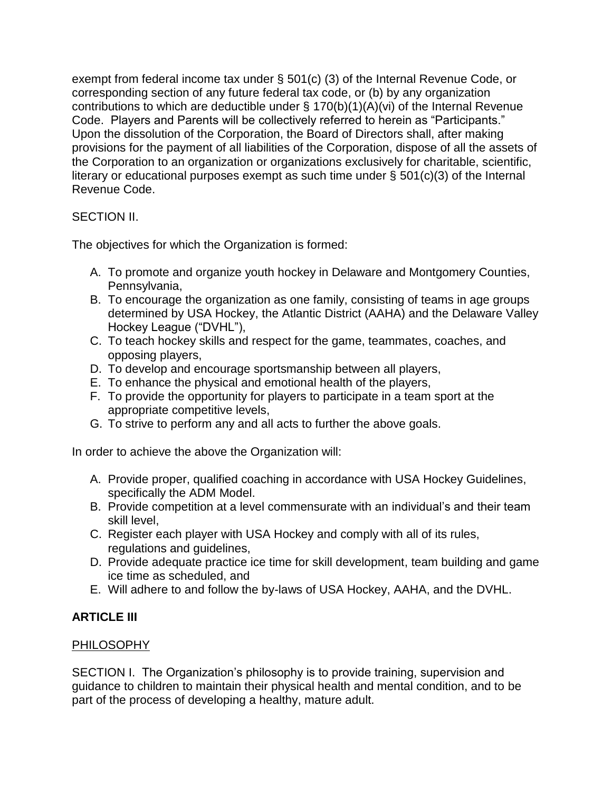exempt from federal income tax under § 501(c) (3) of the Internal Revenue Code, or corresponding section of any future federal tax code, or (b) by any organization contributions to which are deductible under  $\S$  170(b)(1)(A)(vi) of the Internal Revenue Code. Players and Parents will be collectively referred to herein as "Participants." Upon the dissolution of the Corporation, the Board of Directors shall, after making provisions for the payment of all liabilities of the Corporation, dispose of all the assets of the Corporation to an organization or organizations exclusively for charitable, scientific, literary or educational purposes exempt as such time under  $\S$  501(c)(3) of the Internal Revenue Code.

# SECTION II.

The objectives for which the Organization is formed:

- A. To promote and organize youth hockey in Delaware and Montgomery Counties, Pennsylvania,
- B. To encourage the organization as one family, consisting of teams in age groups determined by USA Hockey, the Atlantic District (AAHA) and the Delaware Valley Hockey League ("DVHL"),
- C. To teach hockey skills and respect for the game, teammates, coaches, and opposing players,
- D. To develop and encourage sportsmanship between all players,
- E. To enhance the physical and emotional health of the players,
- F. To provide the opportunity for players to participate in a team sport at the appropriate competitive levels,
- G. To strive to perform any and all acts to further the above goals.

In order to achieve the above the Organization will:

- A. Provide proper, qualified coaching in accordance with USA Hockey Guidelines, specifically the ADM Model.
- B. Provide competition at a level commensurate with an individual's and their team skill level,
- C. Register each player with USA Hockey and comply with all of its rules, regulations and guidelines,
- D. Provide adequate practice ice time for skill development, team building and game ice time as scheduled, and
- E. Will adhere to and follow the by-laws of USA Hockey, AAHA, and the DVHL.

# **ARTICLE III**

### PHILOSOPHY

SECTION I. The Organization's philosophy is to provide training, supervision and guidance to children to maintain their physical health and mental condition, and to be part of the process of developing a healthy, mature adult.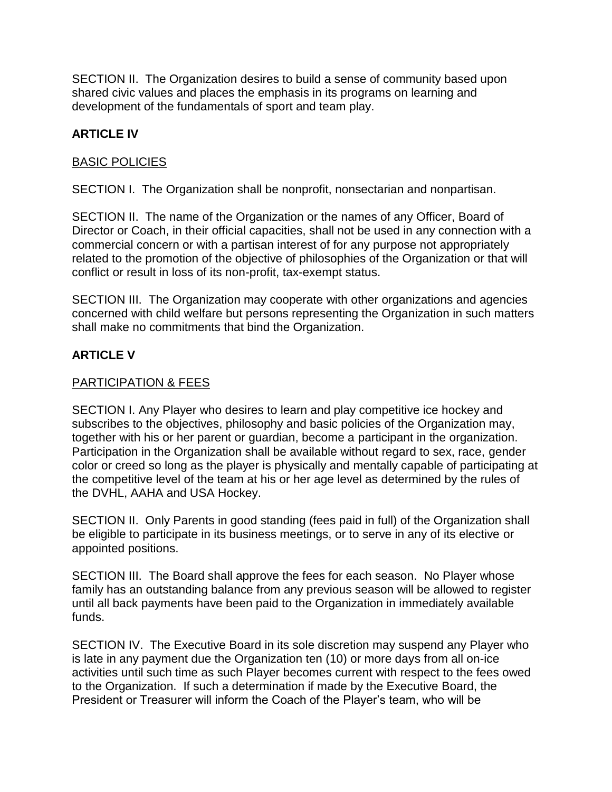SECTION II. The Organization desires to build a sense of community based upon shared civic values and places the emphasis in its programs on learning and development of the fundamentals of sport and team play.

# **ARTICLE IV**

# BASIC POLICIES

SECTION I. The Organization shall be nonprofit, nonsectarian and nonpartisan.

SECTION II. The name of the Organization or the names of any Officer, Board of Director or Coach, in their official capacities, shall not be used in any connection with a commercial concern or with a partisan interest of for any purpose not appropriately related to the promotion of the objective of philosophies of the Organization or that will conflict or result in loss of its non-profit, tax-exempt status.

SECTION III. The Organization may cooperate with other organizations and agencies concerned with child welfare but persons representing the Organization in such matters shall make no commitments that bind the Organization.

# **ARTICLE V**

# PARTICIPATION & FEES

SECTION I. Any Player who desires to learn and play competitive ice hockey and subscribes to the objectives, philosophy and basic policies of the Organization may, together with his or her parent or guardian, become a participant in the organization. Participation in the Organization shall be available without regard to sex, race, gender color or creed so long as the player is physically and mentally capable of participating at the competitive level of the team at his or her age level as determined by the rules of the DVHL, AAHA and USA Hockey.

SECTION II. Only Parents in good standing (fees paid in full) of the Organization shall be eligible to participate in its business meetings, or to serve in any of its elective or appointed positions.

SECTION III. The Board shall approve the fees for each season. No Player whose family has an outstanding balance from any previous season will be allowed to register until all back payments have been paid to the Organization in immediately available funds.

SECTION IV. The Executive Board in its sole discretion may suspend any Player who is late in any payment due the Organization ten (10) or more days from all on-ice activities until such time as such Player becomes current with respect to the fees owed to the Organization. If such a determination if made by the Executive Board, the President or Treasurer will inform the Coach of the Player's team, who will be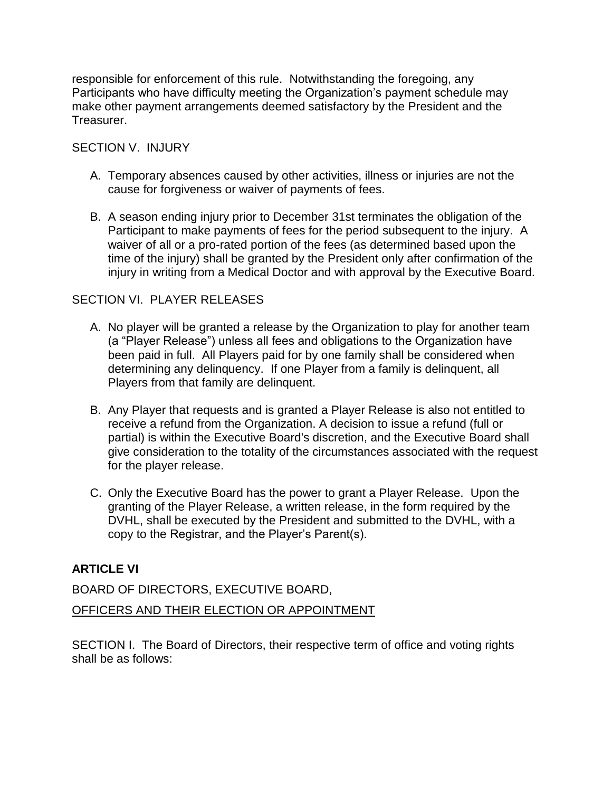responsible for enforcement of this rule. Notwithstanding the foregoing, any Participants who have difficulty meeting the Organization's payment schedule may make other payment arrangements deemed satisfactory by the President and the Treasurer.

### SECTION V. INJURY

- A. Temporary absences caused by other activities, illness or injuries are not the cause for forgiveness or waiver of payments of fees.
- B. A season ending injury prior to December 31st terminates the obligation of the Participant to make payments of fees for the period subsequent to the injury. A waiver of all or a pro-rated portion of the fees (as determined based upon the time of the injury) shall be granted by the President only after confirmation of the injury in writing from a Medical Doctor and with approval by the Executive Board.

### SECTION VI. PLAYER RELEASES

- A. No player will be granted a release by the Organization to play for another team (a "Player Release") unless all fees and obligations to the Organization have been paid in full. All Players paid for by one family shall be considered when determining any delinquency. If one Player from a family is delinquent, all Players from that family are delinquent.
- B. Any Player that requests and is granted a Player Release is also not entitled to receive a refund from the Organization. A decision to issue a refund (full or partial) is within the Executive Board's discretion, and the Executive Board shall give consideration to the totality of the circumstances associated with the request for the player release.
- C. Only the Executive Board has the power to grant a Player Release. Upon the granting of the Player Release, a written release, in the form required by the DVHL, shall be executed by the President and submitted to the DVHL, with a copy to the Registrar, and the Player's Parent(s).

# **ARTICLE VI**

BOARD OF DIRECTORS, EXECUTIVE BOARD, OFFICERS AND THEIR ELECTION OR APPOINTMENT

SECTION I. The Board of Directors, their respective term of office and voting rights shall be as follows: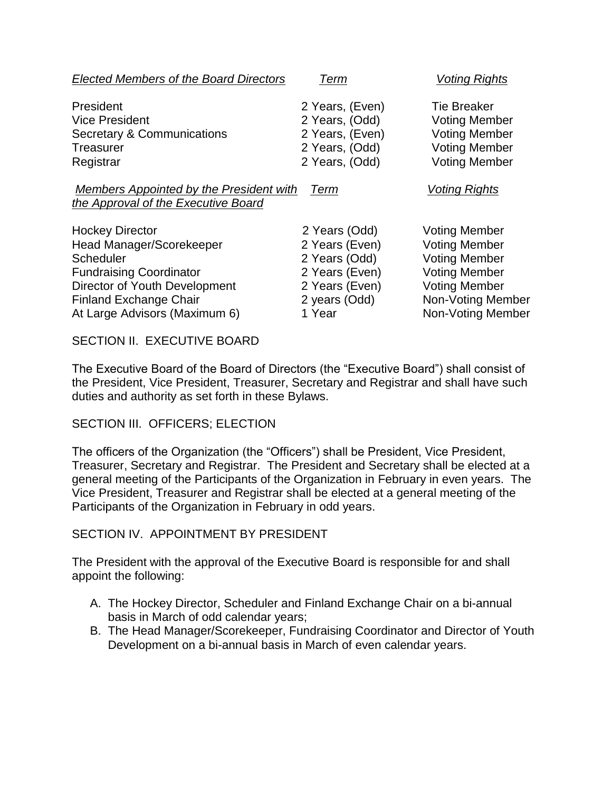| <b>Elected Members of the Board Directors</b>                                         | Term            | <b>Voting Rights</b> |
|---------------------------------------------------------------------------------------|-----------------|----------------------|
| President                                                                             | 2 Years, (Even) | <b>Tie Breaker</b>   |
| <b>Vice President</b>                                                                 | 2 Years, (Odd)  | <b>Voting Member</b> |
| <b>Secretary &amp; Communications</b>                                                 | 2 Years, (Even) | <b>Voting Member</b> |
| Treasurer                                                                             | 2 Years, (Odd)  | <b>Voting Member</b> |
| Registrar                                                                             | 2 Years, (Odd)  | <b>Voting Member</b> |
| <b>Members Appointed by the President with</b><br>the Approval of the Executive Board | Term            | <b>Voting Rights</b> |
| <b>Hockey Director</b>                                                                | 2 Years (Odd)   | <b>Voting Member</b> |
| Head Manager/Scorekeeper                                                              | 2 Years (Even)  | <b>Voting Member</b> |
| <b>Scheduler</b>                                                                      | 2 Years (Odd)   | <b>Voting Member</b> |
| <b>Fundraising Coordinator</b>                                                        | 2 Years (Even)  | <b>Voting Member</b> |
| Director of Youth Development                                                         | 2 Years (Even)  | <b>Voting Member</b> |
| <b>Finland Exchange Chair</b>                                                         | 2 years (Odd)   | Non-Voting Member    |
| At Large Advisors (Maximum 6)                                                         | 1 Year          | Non-Voting Member    |

SECTION II. EXECUTIVE BOARD

The Executive Board of the Board of Directors (the "Executive Board") shall consist of the President, Vice President, Treasurer, Secretary and Registrar and shall have such duties and authority as set forth in these Bylaws.

### SECTION III. OFFICERS; ELECTION

The officers of the Organization (the "Officers") shall be President, Vice President, Treasurer, Secretary and Registrar. The President and Secretary shall be elected at a general meeting of the Participants of the Organization in February in even years. The Vice President, Treasurer and Registrar shall be elected at a general meeting of the Participants of the Organization in February in odd years.

### SECTION IV. APPOINTMENT BY PRESIDENT

The President with the approval of the Executive Board is responsible for and shall appoint the following:

- A. The Hockey Director, Scheduler and Finland Exchange Chair on a bi-annual basis in March of odd calendar years;
- B. The Head Manager/Scorekeeper, Fundraising Coordinator and Director of Youth Development on a bi-annual basis in March of even calendar years.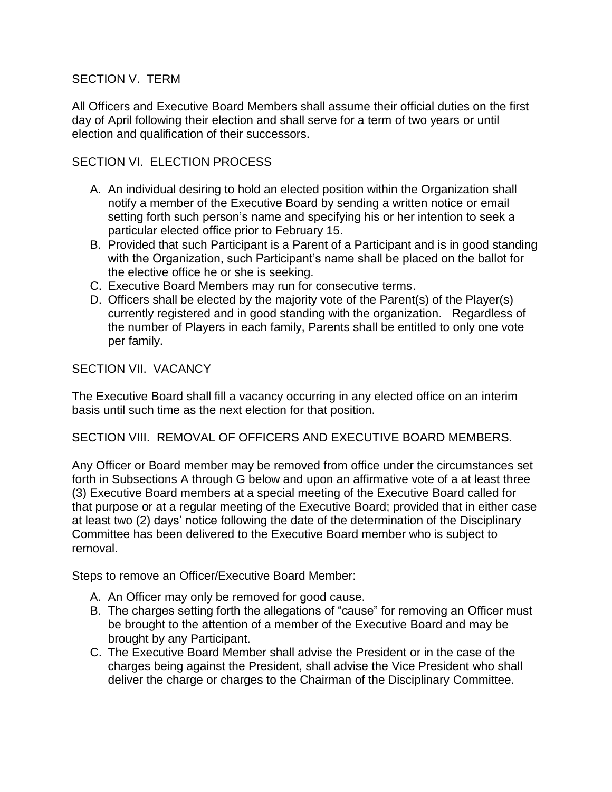# SECTION V. TERM

All Officers and Executive Board Members shall assume their official duties on the first day of April following their election and shall serve for a term of two years or until election and qualification of their successors.

# SECTION VI. ELECTION PROCESS

- A. An individual desiring to hold an elected position within the Organization shall notify a member of the Executive Board by sending a written notice or email setting forth such person's name and specifying his or her intention to seek a particular elected office prior to February 15.
- B. Provided that such Participant is a Parent of a Participant and is in good standing with the Organization, such Participant's name shall be placed on the ballot for the elective office he or she is seeking.
- C. Executive Board Members may run for consecutive terms.
- D. Officers shall be elected by the majority vote of the Parent(s) of the Player(s) currently registered and in good standing with the organization. Regardless of the number of Players in each family, Parents shall be entitled to only one vote per family.

### SECTION VII. VACANCY

The Executive Board shall fill a vacancy occurring in any elected office on an interim basis until such time as the next election for that position.

SECTION VIII. REMOVAL OF OFFICERS AND EXECUTIVE BOARD MEMBERS.

Any Officer or Board member may be removed from office under the circumstances set forth in Subsections A through G below and upon an affirmative vote of a at least three (3) Executive Board members at a special meeting of the Executive Board called for that purpose or at a regular meeting of the Executive Board; provided that in either case at least two (2) days' notice following the date of the determination of the Disciplinary Committee has been delivered to the Executive Board member who is subject to removal.

Steps to remove an Officer/Executive Board Member:

- A. An Officer may only be removed for good cause.
- B. The charges setting forth the allegations of "cause" for removing an Officer must be brought to the attention of a member of the Executive Board and may be brought by any Participant.
- C. The Executive Board Member shall advise the President or in the case of the charges being against the President, shall advise the Vice President who shall deliver the charge or charges to the Chairman of the Disciplinary Committee.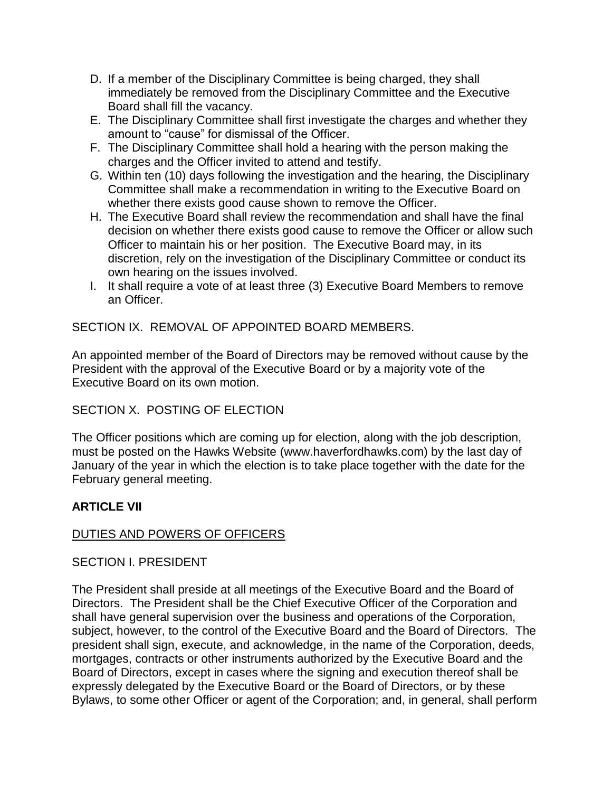- D. If a member of the Disciplinary Committee is being charged, they shall immediately be removed from the Disciplinary Committee and the Executive Board shall fill the vacancy.
- E. The Disciplinary Committee shall first investigate the charges and whether they amount to "cause" for dismissal of the Officer.
- F. The Disciplinary Committee shall hold a hearing with the person making the charges and the Officer invited to attend and testify.
- G. Within ten (10) days following the investigation and the hearing, the Disciplinary Committee shall make a recommendation in writing to the Executive Board on whether there exists good cause shown to remove the Officer.
- H. The Executive Board shall review the recommendation and shall have the final decision on whether there exists good cause to remove the Officer or allow such Officer to maintain his or her position. The Executive Board may, in its discretion, rely on the investigation of the Disciplinary Committee or conduct its own hearing on the issues involved.
- I. It shall require a vote of at least three (3) Executive Board Members to remove an Officer.

SECTION IX. REMOVAL OF APPOINTED BOARD MEMBERS.

An appointed member of the Board of Directors may be removed without cause by the President with the approval of the Executive Board or by a majority vote of the Executive Board on its own motion.

SECTION X. POSTING OF FLECTION

The Officer positions which are coming up for election, along with the job description, must be posted on the Hawks Website (www.haverfordhawks.com) by the last day of January of the year in which the election is to take place together with the date for the February general meeting.

# **ARTICLE VII**

# DUTIES AND POWERS OF OFFICERS

# SECTION I. PRESIDENT

The President shall preside at all meetings of the Executive Board and the Board of Directors. The President shall be the Chief Executive Officer of the Corporation and shall have general supervision over the business and operations of the Corporation, subject, however, to the control of the Executive Board and the Board of Directors. The president shall sign, execute, and acknowledge, in the name of the Corporation, deeds, mortgages, contracts or other instruments authorized by the Executive Board and the Board of Directors, except in cases where the signing and execution thereof shall be expressly delegated by the Executive Board or the Board of Directors, or by these Bylaws, to some other Officer or agent of the Corporation; and, in general, shall perform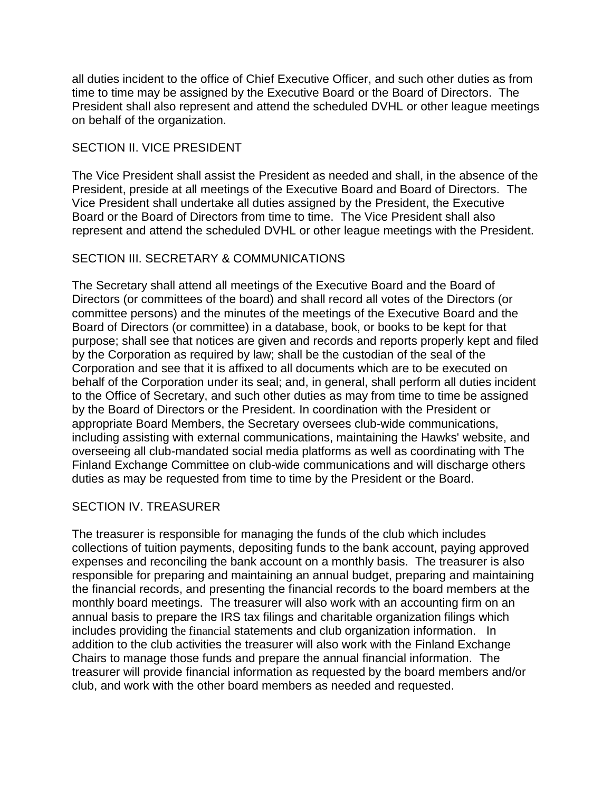all duties incident to the office of Chief Executive Officer, and such other duties as from time to time may be assigned by the Executive Board or the Board of Directors. The President shall also represent and attend the scheduled DVHL or other league meetings on behalf of the organization.

# SECTION II. VICE PRESIDENT

The Vice President shall assist the President as needed and shall, in the absence of the President, preside at all meetings of the Executive Board and Board of Directors. The Vice President shall undertake all duties assigned by the President, the Executive Board or the Board of Directors from time to time. The Vice President shall also represent and attend the scheduled DVHL or other league meetings with the President.

# SECTION III. SECRETARY & COMMUNICATIONS

The Secretary shall attend all meetings of the Executive Board and the Board of Directors (or committees of the board) and shall record all votes of the Directors (or committee persons) and the minutes of the meetings of the Executive Board and the Board of Directors (or committee) in a database, book, or books to be kept for that purpose; shall see that notices are given and records and reports properly kept and filed by the Corporation as required by law; shall be the custodian of the seal of the Corporation and see that it is affixed to all documents which are to be executed on behalf of the Corporation under its seal; and, in general, shall perform all duties incident to the Office of Secretary, and such other duties as may from time to time be assigned by the Board of Directors or the President. In coordination with the President or appropriate Board Members, the Secretary oversees club-wide communications, including assisting with external communications, maintaining the Hawks' website, and overseeing all club-mandated social media platforms as well as coordinating with The Finland Exchange Committee on club-wide communications and will discharge others duties as may be requested from time to time by the President or the Board.

# SECTION IV. TREASURER

The treasurer is responsible for managing the funds of the club which includes collections of tuition payments, depositing funds to the bank account, paying approved expenses and reconciling the bank account on a monthly basis. The treasurer is also responsible for preparing and maintaining an annual budget, preparing and maintaining the financial records, and presenting the financial records to the board members at the monthly board meetings. The treasurer will also work with an accounting firm on an annual basis to prepare the IRS tax filings and charitable organization filings which includes providing the financial statements and club organization information. In addition to the club activities the treasurer will also work with the Finland Exchange Chairs to manage those funds and prepare the annual financial information. The treasurer will provide financial information as requested by the board members and/or club, and work with the other board members as needed and requested.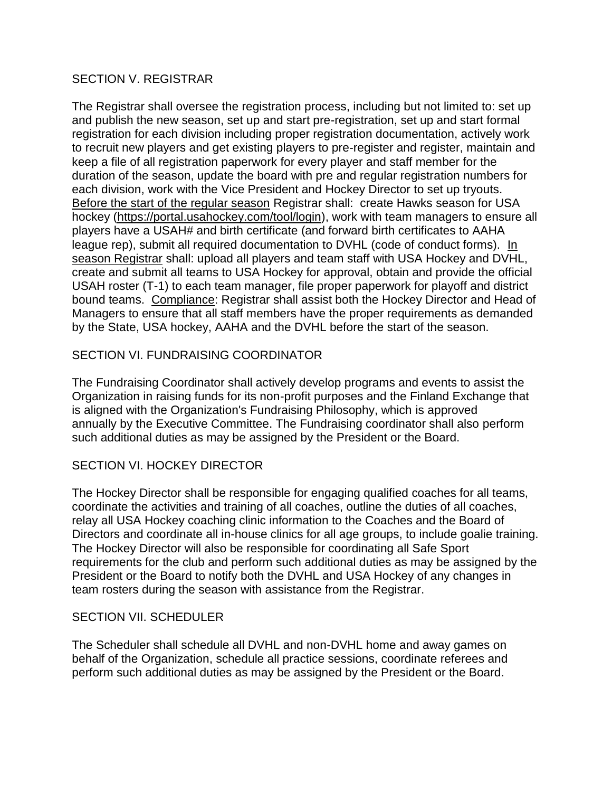# SECTION V. REGISTRAR

The Registrar shall oversee the registration process, including but not limited to: set up and publish the new season, set up and start pre-registration, set up and start formal registration for each division including proper registration documentation, actively work to recruit new players and get existing players to pre-register and register, maintain and keep a file of all registration paperwork for every player and staff member for the duration of the season, update the board with pre and regular registration numbers for each division, work with the Vice President and Hockey Director to set up tryouts. Before the start of the regular season Registrar shall: create Hawks season for USA hockey [\(https://portal.usahockey.com/tool/login\)](https://portal.usahockey.com/tool/login), work with team managers to ensure all players have a USAH# and birth certificate (and forward birth certificates to AAHA league rep), submit all required documentation to DVHL (code of conduct forms). In season Registrar shall: upload all players and team staff with USA Hockey and DVHL, create and submit all teams to USA Hockey for approval, obtain and provide the official USAH roster (T-1) to each team manager, file proper paperwork for playoff and district bound teams. Compliance: Registrar shall assist both the Hockey Director and Head of Managers to ensure that all staff members have the proper requirements as demanded by the State, USA hockey, AAHA and the DVHL before the start of the season.

# SECTION VI. FUNDRAISING COORDINATOR

The Fundraising Coordinator shall actively develop programs and events to assist the Organization in raising funds for its non-profit purposes and the Finland Exchange that is aligned with the Organization's Fundraising Philosophy, which is approved annually by the Executive Committee. The Fundraising coordinator shall also perform such additional duties as may be assigned by the President or the Board.

### SECTION VI. HOCKEY DIRECTOR

The Hockey Director shall be responsible for engaging qualified coaches for all teams, coordinate the activities and training of all coaches, outline the duties of all coaches, relay all USA Hockey coaching clinic information to the Coaches and the Board of Directors and coordinate all in-house clinics for all age groups, to include goalie training. The Hockey Director will also be responsible for coordinating all Safe Sport requirements for the club and perform such additional duties as may be assigned by the President or the Board to notify both the DVHL and USA Hockey of any changes in team rosters during the season with assistance from the Registrar.

### SECTION VII. SCHEDULER

The Scheduler shall schedule all DVHL and non-DVHL home and away games on behalf of the Organization, schedule all practice sessions, coordinate referees and perform such additional duties as may be assigned by the President or the Board.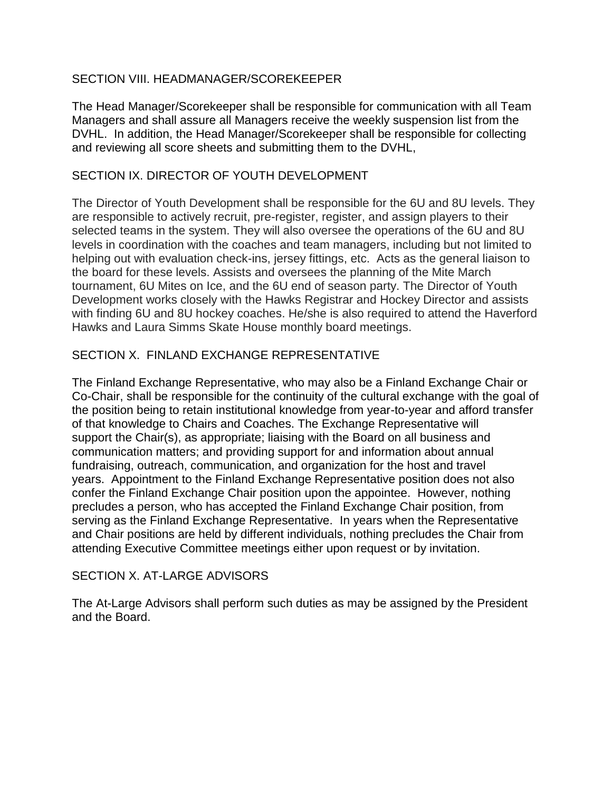### SECTION VIII. HEADMANAGER/SCOREKEEPER

The Head Manager/Scorekeeper shall be responsible for communication with all Team Managers and shall assure all Managers receive the weekly suspension list from the DVHL. In addition, the Head Manager/Scorekeeper shall be responsible for collecting and reviewing all score sheets and submitting them to the DVHL,

# SECTION IX. DIRECTOR OF YOUTH DEVELOPMENT

The Director of Youth Development shall be responsible for the 6U and 8U levels. They are responsible to actively recruit, pre-register, register, and assign players to their selected teams in the system. They will also oversee the operations of the 6U and 8U levels in coordination with the coaches and team managers, including but not limited to helping out with evaluation check-ins, jersey fittings, etc. Acts as the general liaison to the board for these levels. Assists and oversees the planning of the Mite March tournament, 6U Mites on Ice, and the 6U end of season party. The Director of Youth Development works closely with the Hawks Registrar and Hockey Director and assists with finding 6U and 8U hockey coaches. He/she is also required to attend the Haverford Hawks and Laura Simms Skate House monthly board meetings.

# SECTION X. FINLAND EXCHANGE REPRESENTATIVE

The Finland Exchange Representative, who may also be a Finland Exchange Chair or Co-Chair, shall be responsible for the continuity of the cultural exchange with the goal of the position being to retain institutional knowledge from year-to-year and afford transfer of that knowledge to Chairs and Coaches. The Exchange Representative will support the Chair(s), as appropriate; liaising with the Board on all business and communication matters; and providing support for and information about annual fundraising, outreach, communication, and organization for the host and travel years. Appointment to the Finland Exchange Representative position does not also confer the Finland Exchange Chair position upon the appointee. However, nothing precludes a person, who has accepted the Finland Exchange Chair position, from serving as the Finland Exchange Representative. In years when the Representative and Chair positions are held by different individuals, nothing precludes the Chair from attending Executive Committee meetings either upon request or by invitation.

### SECTION X, AT-LARGE ADVISORS

The At-Large Advisors shall perform such duties as may be assigned by the President and the Board.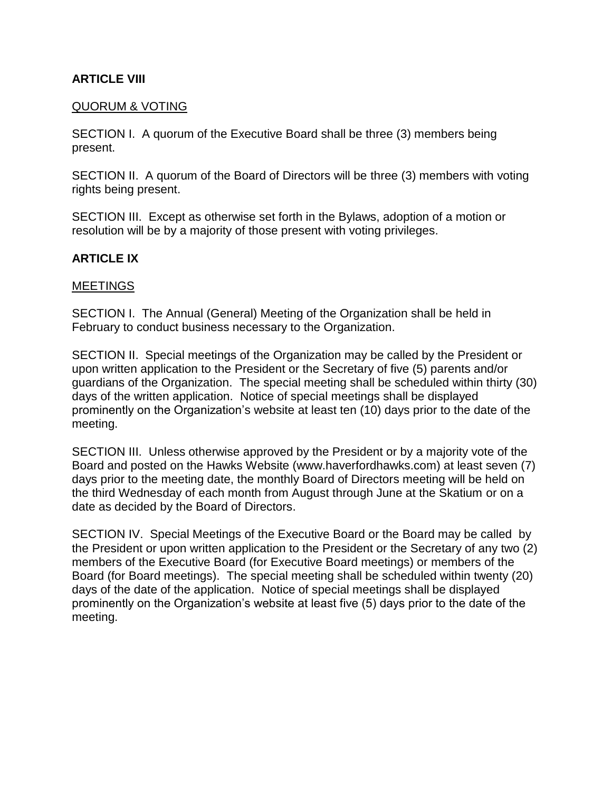# **ARTICLE VIII**

### QUORUM & VOTING

SECTION I. A quorum of the Executive Board shall be three (3) members being present.

SECTION II. A quorum of the Board of Directors will be three (3) members with voting rights being present.

SECTION III. Except as otherwise set forth in the Bylaws, adoption of a motion or resolution will be by a majority of those present with voting privileges.

### **ARTICLE IX**

#### MEETINGS

SECTION I. The Annual (General) Meeting of the Organization shall be held in February to conduct business necessary to the Organization.

SECTION II. Special meetings of the Organization may be called by the President or upon written application to the President or the Secretary of five (5) parents and/or guardians of the Organization. The special meeting shall be scheduled within thirty (30) days of the written application. Notice of special meetings shall be displayed prominently on the Organization's website at least ten (10) days prior to the date of the meeting.

SECTION III. Unless otherwise approved by the President or by a majority vote of the Board and posted on the Hawks Website (www.haverfordhawks.com) at least seven (7) days prior to the meeting date, the monthly Board of Directors meeting will be held on the third Wednesday of each month from August through June at the Skatium or on a date as decided by the Board of Directors.

SECTION IV. Special Meetings of the Executive Board or the Board may be called by the President or upon written application to the President or the Secretary of any two (2) members of the Executive Board (for Executive Board meetings) or members of the Board (for Board meetings). The special meeting shall be scheduled within twenty (20) days of the date of the application. Notice of special meetings shall be displayed prominently on the Organization's website at least five (5) days prior to the date of the meeting.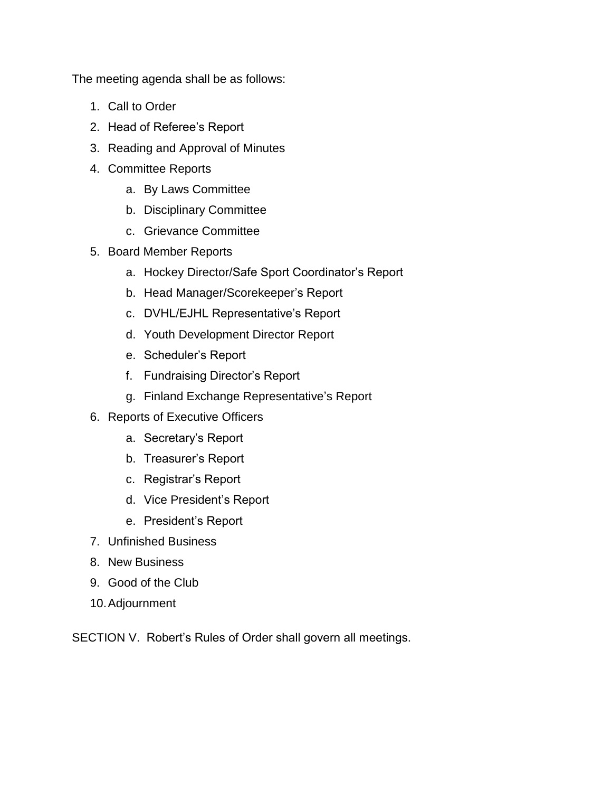The meeting agenda shall be as follows:

- 1. Call to Order
- 2. Head of Referee's Report
- 3. Reading and Approval of Minutes
- 4. Committee Reports
	- a. By Laws Committee
	- b. Disciplinary Committee
	- c. Grievance Committee
- 5. Board Member Reports
	- a. Hockey Director/Safe Sport Coordinator's Report
	- b. Head Manager/Scorekeeper's Report
	- c. DVHL/EJHL Representative's Report
	- d. Youth Development Director Report
	- e. Scheduler's Report
	- f. Fundraising Director's Report
	- g. Finland Exchange Representative's Report
- 6. Reports of Executive Officers
	- a. Secretary's Report
	- b. Treasurer's Report
	- c. Registrar's Report
	- d. Vice President's Report
	- e. President's Report
- 7. Unfinished Business
- 8. New Business
- 9. Good of the Club
- 10.Adjournment

SECTION V. Robert's Rules of Order shall govern all meetings.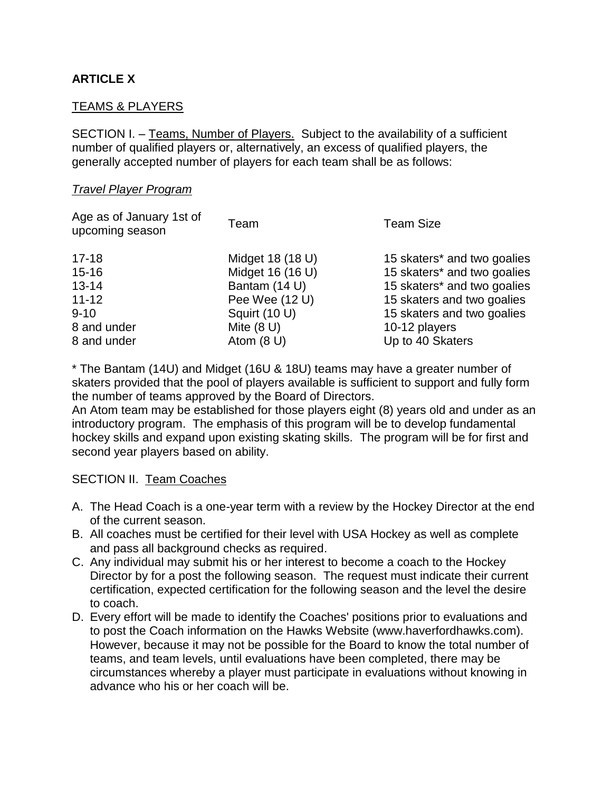# **ARTICLE X**

# TEAMS & PLAYERS

SECTION I. – Teams, Number of Players. Subject to the availability of a sufficient number of qualified players or, alternatively, an excess of qualified players, the generally accepted number of players for each team shall be as follows:

### *Travel Player Program*

| Age as of January 1st of<br>upcoming season | Team             | <b>Team Size</b>            |
|---------------------------------------------|------------------|-----------------------------|
| $17 - 18$                                   | Midget 18 (18 U) | 15 skaters* and two goalies |
| $15 - 16$                                   | Midget 16 (16 U) | 15 skaters* and two goalies |
| $13 - 14$                                   | Bantam (14 U)    | 15 skaters* and two goalies |
| $11 - 12$                                   | Pee Wee (12 U)   | 15 skaters and two goalies  |
| $9 - 10$                                    | Squirt (10 U)    | 15 skaters and two goalies  |
| 8 and under                                 | Mite $(8 U)$     | 10-12 players               |
| 8 and under                                 | Atom $(8 U)$     | Up to 40 Skaters            |

\* The Bantam (14U) and Midget (16U & 18U) teams may have a greater number of skaters provided that the pool of players available is sufficient to support and fully form the number of teams approved by the Board of Directors.

An Atom team may be established for those players eight (8) years old and under as an introductory program. The emphasis of this program will be to develop fundamental hockey skills and expand upon existing skating skills. The program will be for first and second year players based on ability.

# SECTION II. Team Coaches

- A. The Head Coach is a one-year term with a review by the Hockey Director at the end of the current season.
- B. All coaches must be certified for their level with USA Hockey as well as complete and pass all background checks as required.
- C. Any individual may submit his or her interest to become a coach to the Hockey Director by for a post the following season. The request must indicate their current certification, expected certification for the following season and the level the desire to coach.
- D. Every effort will be made to identify the Coaches' positions prior to evaluations and to post the Coach information on the Hawks Website (www.haverfordhawks.com). However, because it may not be possible for the Board to know the total number of teams, and team levels, until evaluations have been completed, there may be circumstances whereby a player must participate in evaluations without knowing in advance who his or her coach will be.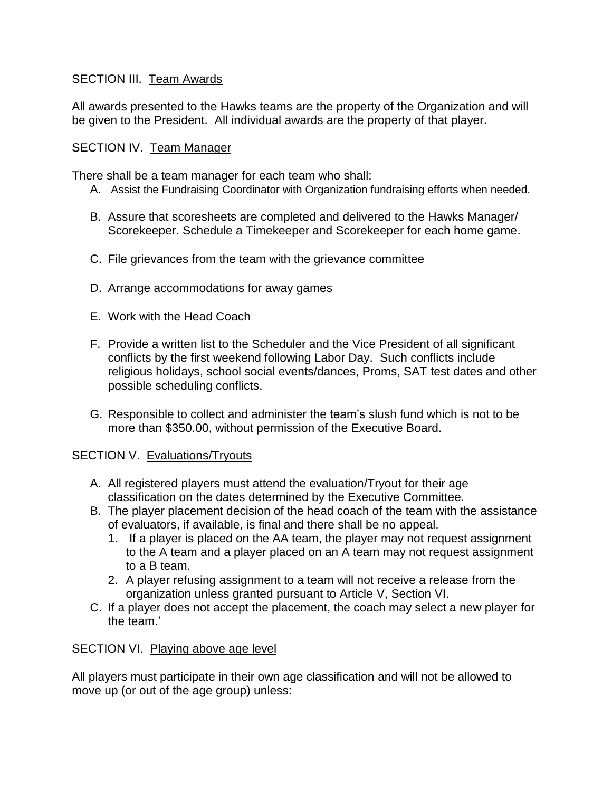# SECTION III. Team Awards

All awards presented to the Hawks teams are the property of the Organization and will be given to the President. All individual awards are the property of that player.

# SECTION IV. Team Manager

There shall be a team manager for each team who shall:

- A. Assist the Fundraising Coordinator with Organization fundraising efforts when needed.
- B. Assure that scoresheets are completed and delivered to the Hawks Manager/ Scorekeeper. Schedule a Timekeeper and Scorekeeper for each home game.
- C. File grievances from the team with the grievance committee
- D. Arrange accommodations for away games
- E. Work with the Head Coach
- F. Provide a written list to the Scheduler and the Vice President of all significant conflicts by the first weekend following Labor Day. Such conflicts include religious holidays, school social events/dances, Proms, SAT test dates and other possible scheduling conflicts.
- G. Responsible to collect and administer the team's slush fund which is not to be more than \$350.00, without permission of the Executive Board.

### SECTION V. Evaluations/Tryouts

- A. All registered players must attend the evaluation/Tryout for their age classification on the dates determined by the Executive Committee.
- B. The player placement decision of the head coach of the team with the assistance of evaluators, if available, is final and there shall be no appeal.
	- 1. If a player is placed on the AA team, the player may not request assignment to the A team and a player placed on an A team may not request assignment to a B team.
	- 2. A player refusing assignment to a team will not receive a release from the organization unless granted pursuant to Article V, Section VI.
- C. If a player does not accept the placement, the coach may select a new player for the team.'

# SECTION VI. Playing above age level

All players must participate in their own age classification and will not be allowed to move up (or out of the age group) unless: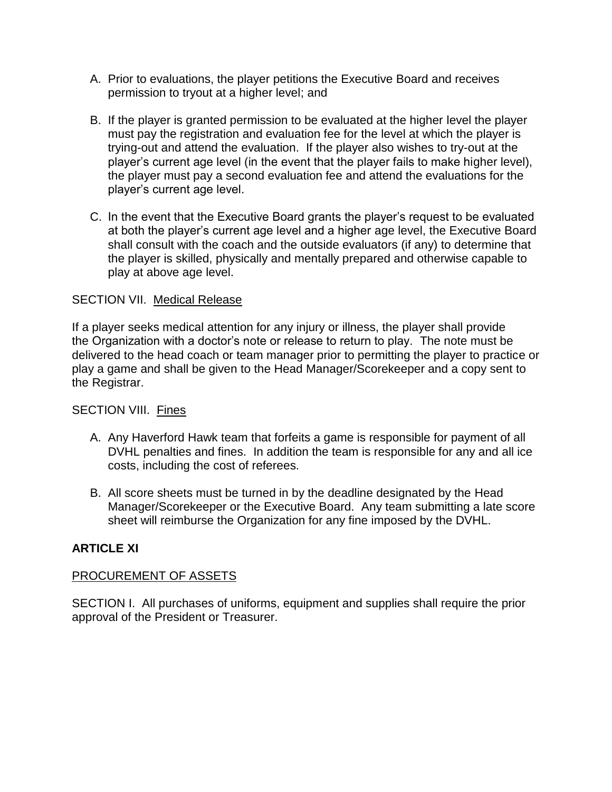- A. Prior to evaluations, the player petitions the Executive Board and receives permission to tryout at a higher level; and
- B. If the player is granted permission to be evaluated at the higher level the player must pay the registration and evaluation fee for the level at which the player is trying-out and attend the evaluation. If the player also wishes to try-out at the player's current age level (in the event that the player fails to make higher level), the player must pay a second evaluation fee and attend the evaluations for the player's current age level.
- C. In the event that the Executive Board grants the player's request to be evaluated at both the player's current age level and a higher age level, the Executive Board shall consult with the coach and the outside evaluators (if any) to determine that the player is skilled, physically and mentally prepared and otherwise capable to play at above age level.

# SECTION VII. Medical Release

If a player seeks medical attention for any injury or illness, the player shall provide the Organization with a doctor's note or release to return to play. The note must be delivered to the head coach or team manager prior to permitting the player to practice or play a game and shall be given to the Head Manager/Scorekeeper and a copy sent to the Registrar.

#### SECTION VIII. Fines

- A. Any Haverford Hawk team that forfeits a game is responsible for payment of all DVHL penalties and fines. In addition the team is responsible for any and all ice costs, including the cost of referees.
- B. All score sheets must be turned in by the deadline designated by the Head Manager/Scorekeeper or the Executive Board. Any team submitting a late score sheet will reimburse the Organization for any fine imposed by the DVHL.

### **ARTICLE XI**

#### PROCUREMENT OF ASSETS

SECTION I. All purchases of uniforms, equipment and supplies shall require the prior approval of the President or Treasurer.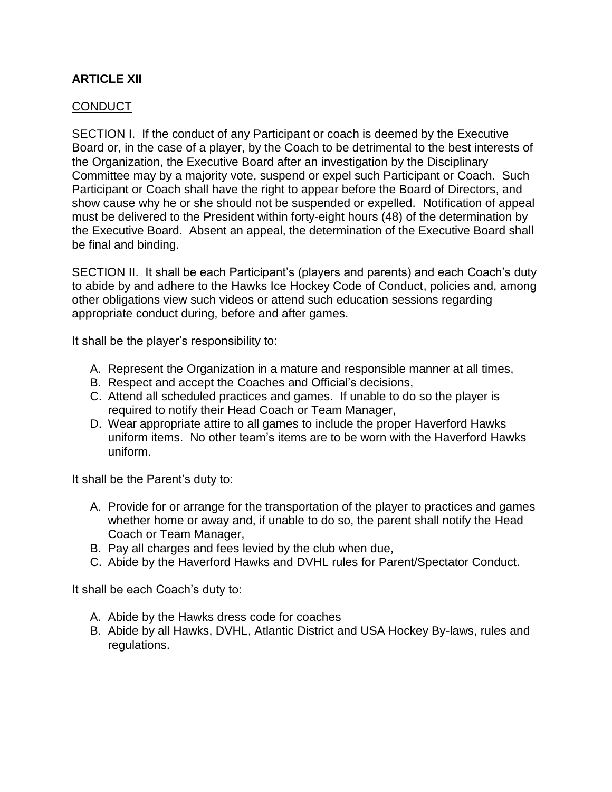# **ARTICLE XII**

# CONDUCT

SECTION I. If the conduct of any Participant or coach is deemed by the Executive Board or, in the case of a player, by the Coach to be detrimental to the best interests of the Organization, the Executive Board after an investigation by the Disciplinary Committee may by a majority vote, suspend or expel such Participant or Coach. Such Participant or Coach shall have the right to appear before the Board of Directors, and show cause why he or she should not be suspended or expelled. Notification of appeal must be delivered to the President within forty-eight hours (48) of the determination by the Executive Board. Absent an appeal, the determination of the Executive Board shall be final and binding.

SECTION II. It shall be each Participant's (players and parents) and each Coach's duty to abide by and adhere to the Hawks Ice Hockey Code of Conduct, policies and, among other obligations view such videos or attend such education sessions regarding appropriate conduct during, before and after games.

It shall be the player's responsibility to:

- A. Represent the Organization in a mature and responsible manner at all times,
- B. Respect and accept the Coaches and Official's decisions,
- C. Attend all scheduled practices and games. If unable to do so the player is required to notify their Head Coach or Team Manager,
- D. Wear appropriate attire to all games to include the proper Haverford Hawks uniform items. No other team's items are to be worn with the Haverford Hawks uniform.

It shall be the Parent's duty to:

- A. Provide for or arrange for the transportation of the player to practices and games whether home or away and, if unable to do so, the parent shall notify the Head Coach or Team Manager,
- B. Pay all charges and fees levied by the club when due,
- C. Abide by the Haverford Hawks and DVHL rules for Parent/Spectator Conduct.

It shall be each Coach's duty to:

- A. Abide by the Hawks dress code for coaches
- B. Abide by all Hawks, DVHL, Atlantic District and USA Hockey By-laws, rules and regulations.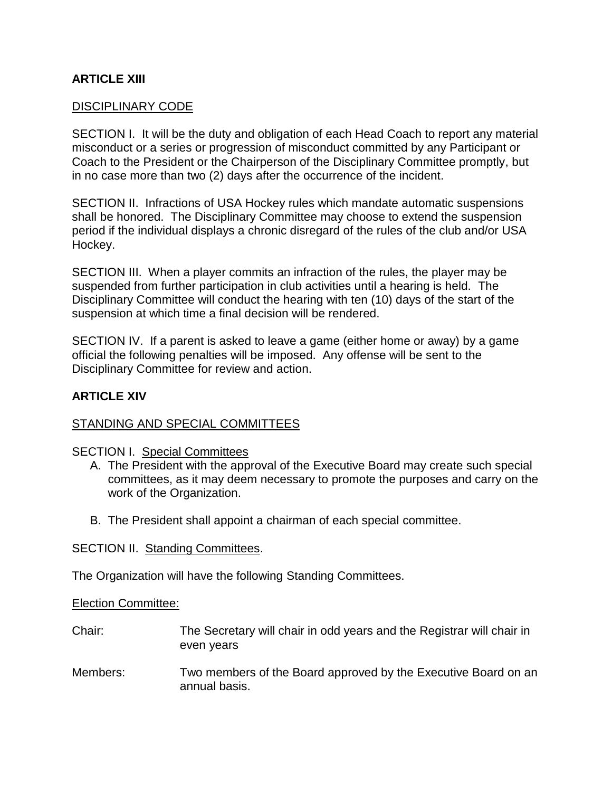# **ARTICLE XIII**

### DISCIPLINARY CODE

SECTION I. It will be the duty and obligation of each Head Coach to report any material misconduct or a series or progression of misconduct committed by any Participant or Coach to the President or the Chairperson of the Disciplinary Committee promptly, but in no case more than two (2) days after the occurrence of the incident.

SECTION II. Infractions of USA Hockey rules which mandate automatic suspensions shall be honored. The Disciplinary Committee may choose to extend the suspension period if the individual displays a chronic disregard of the rules of the club and/or USA Hockey.

SECTION III. When a player commits an infraction of the rules, the player may be suspended from further participation in club activities until a hearing is held. The Disciplinary Committee will conduct the hearing with ten (10) days of the start of the suspension at which time a final decision will be rendered.

SECTION IV. If a parent is asked to leave a game (either home or away) by a game official the following penalties will be imposed. Any offense will be sent to the Disciplinary Committee for review and action.

### **ARTICLE XIV**

#### STANDING AND SPECIAL COMMITTEES

#### SECTION I. Special Committees

- A. The President with the approval of the Executive Board may create such special committees, as it may deem necessary to promote the purposes and carry on the work of the Organization.
- B. The President shall appoint a chairman of each special committee.

#### SECTION II. Standing Committees.

The Organization will have the following Standing Committees.

#### Election Committee:

| Chair: | The Secretary will chair in odd years and the Registrar will chair in |
|--------|-----------------------------------------------------------------------|
|        | even years                                                            |

Members: Two members of the Board approved by the Executive Board on an annual basis.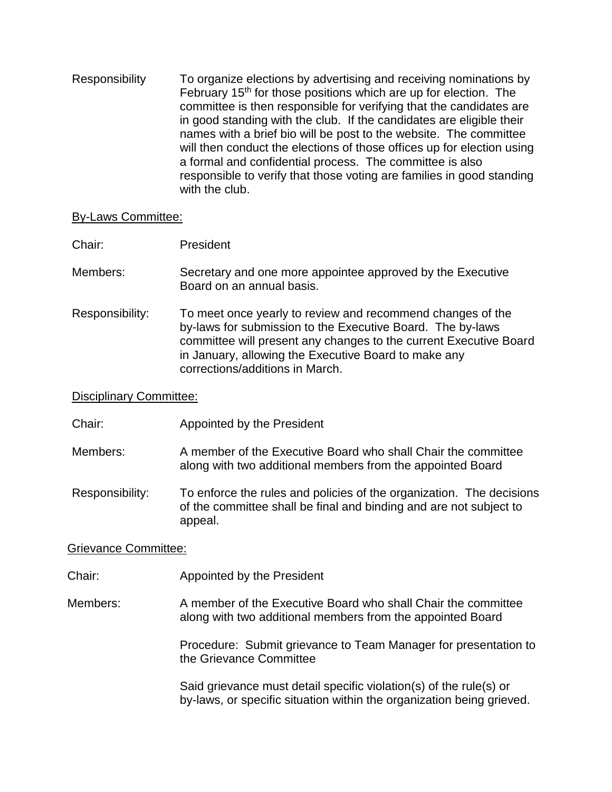Responsibility To organize elections by advertising and receiving nominations by February 15<sup>th</sup> for those positions which are up for election. The committee is then responsible for verifying that the candidates are in good standing with the club. If the candidates are eligible their names with a brief bio will be post to the website. The committee will then conduct the elections of those offices up for election using a formal and confidential process. The committee is also responsible to verify that those voting are families in good standing with the club.

### By-Laws Committee:

Chair: President

Members: Secretary and one more appointee approved by the Executive Board on an annual basis.

Responsibility: To meet once yearly to review and recommend changes of the by-laws for submission to the Executive Board. The by-laws committee will present any changes to the current Executive Board in January, allowing the Executive Board to make any corrections/additions in March.

### Disciplinary Committee:

- Chair: Appointed by the President
- Members: A member of the Executive Board who shall Chair the committee along with two additional members from the appointed Board
- Responsibility: To enforce the rules and policies of the organization. The decisions of the committee shall be final and binding and are not subject to appeal.

### Grievance Committee:

- Chair: Appointed by the President
- Members: A member of the Executive Board who shall Chair the committee along with two additional members from the appointed Board

Procedure: Submit grievance to Team Manager for presentation to the Grievance Committee

Said grievance must detail specific violation(s) of the rule(s) or by-laws, or specific situation within the organization being grieved.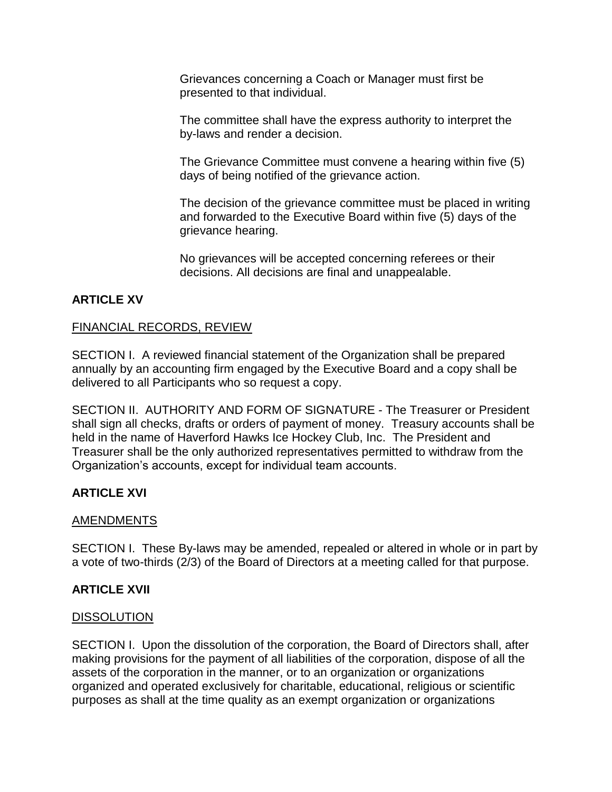Grievances concerning a Coach or Manager must first be presented to that individual.

The committee shall have the express authority to interpret the by-laws and render a decision.

The Grievance Committee must convene a hearing within five (5) days of being notified of the grievance action.

The decision of the grievance committee must be placed in writing and forwarded to the Executive Board within five (5) days of the grievance hearing.

No grievances will be accepted concerning referees or their decisions. All decisions are final and unappealable.

# **ARTICLE XV**

### FINANCIAL RECORDS, REVIEW

SECTION I. A reviewed financial statement of the Organization shall be prepared annually by an accounting firm engaged by the Executive Board and a copy shall be delivered to all Participants who so request a copy.

SECTION II. AUTHORITY AND FORM OF SIGNATURE - The Treasurer or President shall sign all checks, drafts or orders of payment of money. Treasury accounts shall be held in the name of Haverford Hawks Ice Hockey Club, Inc. The President and Treasurer shall be the only authorized representatives permitted to withdraw from the Organization's accounts, except for individual team accounts.

# **ARTICLE XVI**

### AMENDMENTS

SECTION I. These By-laws may be amended, repealed or altered in whole or in part by a vote of two-thirds (2/3) of the Board of Directors at a meeting called for that purpose.

### **ARTICLE XVII**

### **DISSOLUTION**

SECTION I. Upon the dissolution of the corporation, the Board of Directors shall, after making provisions for the payment of all liabilities of the corporation, dispose of all the assets of the corporation in the manner, or to an organization or organizations organized and operated exclusively for charitable, educational, religious or scientific purposes as shall at the time quality as an exempt organization or organizations